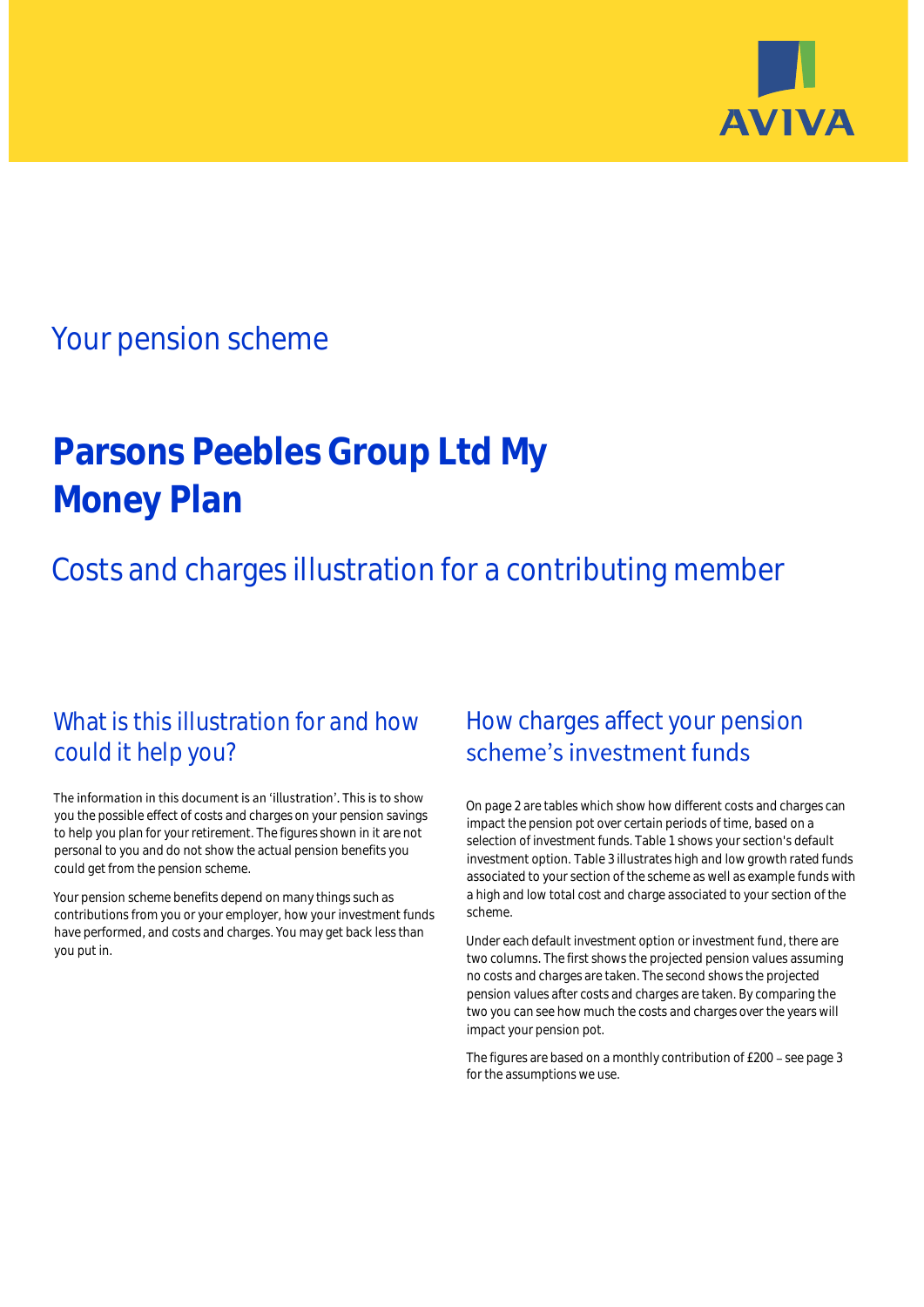

## Your pension scheme

# **Parsons Peebles Group Ltd My Money Plan**

Costs and charges illustration for a contributing member

### What is this illustration for and how could it help you?

#### The information in this document is an 'illustration'. This is to show you the possible effect of costs and charges on your pension savings to help you plan for your retirement. The figures shown in it are not personal to you and do not show the actual pension benefits you could get from the pension scheme.

Your pension scheme benefits depend on many things such as contributions from you or your employer, how your investment funds have performed, and costs and charges. You may get back less than you put in.

### How charges affect your pension scheme's investment funds

On page 2 are tables which show how different costs and charges can impact the pension pot over certain periods of time, based on a selection of investment funds. Table 1 shows your section's default investment option. Table 3 illustrates high and low growth rated funds associated to your section of the scheme as well as example funds with a high and low total cost and charge associated to your section of the scheme.

Under each default investment option or investment fund, there are two columns. The first shows the projected pension values assuming no costs and charges are taken. The second shows the projected pension values after costs and charges are taken. By comparing the two you can see how much the costs and charges over the years will impact your pension pot.

The figures are based on a monthly contribution of £200 - see page 3 for the assumptions we use.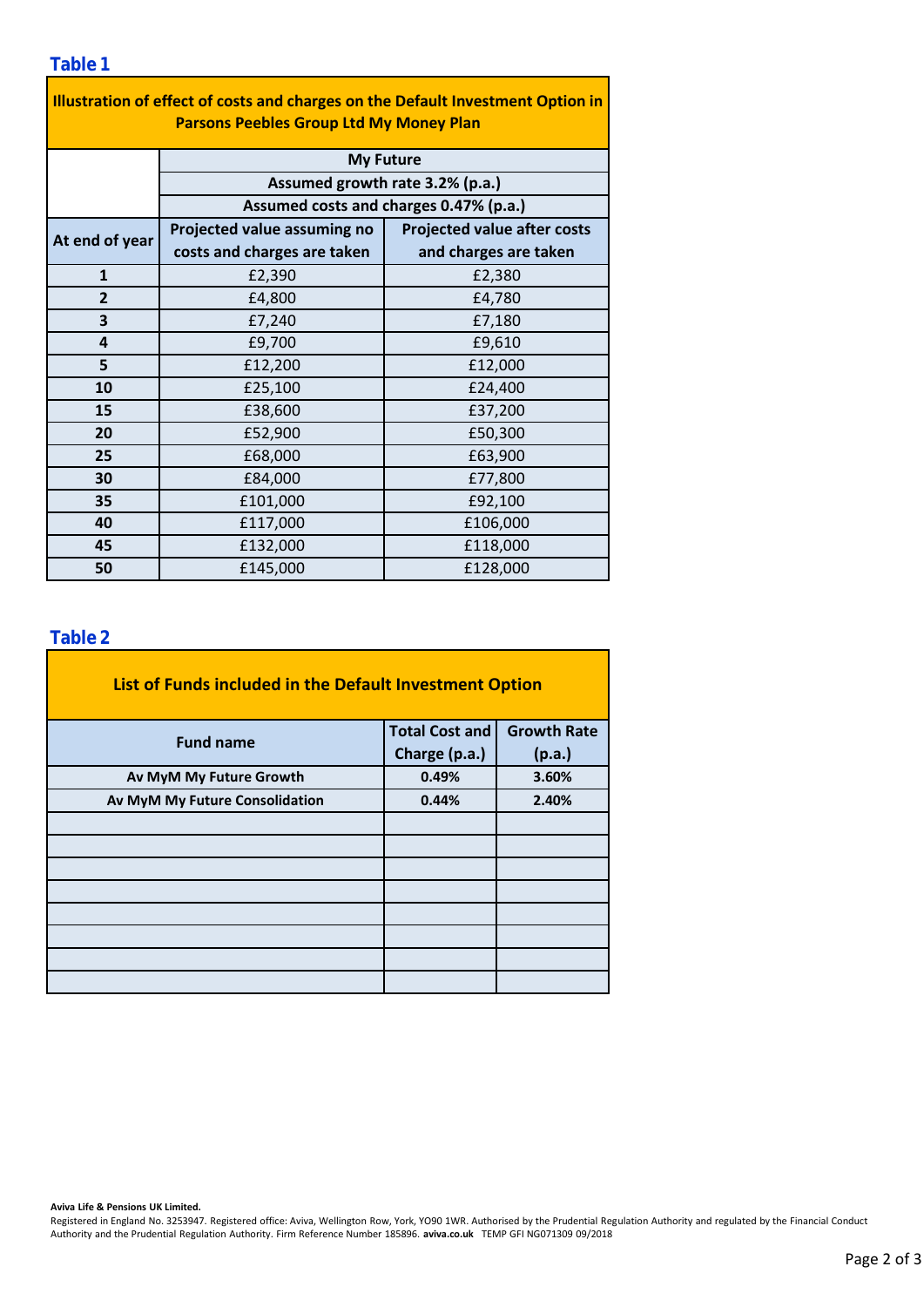| Illustration of effect of costs and charges on the Default Investment Option in<br><b>Parsons Peebles Group Ltd My Money Plan</b> |                                                                           |                                    |  |  |  |  |  |  |
|-----------------------------------------------------------------------------------------------------------------------------------|---------------------------------------------------------------------------|------------------------------------|--|--|--|--|--|--|
|                                                                                                                                   | <b>My Future</b>                                                          |                                    |  |  |  |  |  |  |
|                                                                                                                                   | Assumed growth rate 3.2% (p.a.)<br>Assumed costs and charges 0.47% (p.a.) |                                    |  |  |  |  |  |  |
|                                                                                                                                   |                                                                           |                                    |  |  |  |  |  |  |
| At end of year                                                                                                                    | Projected value assuming no                                               | <b>Projected value after costs</b> |  |  |  |  |  |  |
|                                                                                                                                   | costs and charges are taken                                               | and charges are taken              |  |  |  |  |  |  |
| $\mathbf{1}$                                                                                                                      | £2,390                                                                    | £2,380                             |  |  |  |  |  |  |
| $\overline{2}$                                                                                                                    | £4,800                                                                    | £4,780                             |  |  |  |  |  |  |
| 3                                                                                                                                 | £7,240                                                                    | £7,180                             |  |  |  |  |  |  |
| 4                                                                                                                                 | £9,700                                                                    | £9,610                             |  |  |  |  |  |  |
| 5                                                                                                                                 | £12,200                                                                   | £12,000                            |  |  |  |  |  |  |
| 10                                                                                                                                | £25,100                                                                   | £24,400                            |  |  |  |  |  |  |
| 15                                                                                                                                | £38,600                                                                   | £37,200                            |  |  |  |  |  |  |
| 20                                                                                                                                | £52,900                                                                   | £50,300                            |  |  |  |  |  |  |
| 25                                                                                                                                | £68,000                                                                   | £63,900                            |  |  |  |  |  |  |
| 30                                                                                                                                | £84,000                                                                   | £77,800                            |  |  |  |  |  |  |
| 35                                                                                                                                | £101,000                                                                  | £92,100                            |  |  |  |  |  |  |
| 40                                                                                                                                | £117,000                                                                  | £106,000                           |  |  |  |  |  |  |
| 45                                                                                                                                | £132,000                                                                  | £118,000                           |  |  |  |  |  |  |
| 50                                                                                                                                | £145,000                                                                  | £128,000                           |  |  |  |  |  |  |

÷,

### **Table 2**

| List of Funds included in the Default Investment Option |                       |                    |
|---------------------------------------------------------|-----------------------|--------------------|
| <b>Fund name</b>                                        | <b>Total Cost and</b> | <b>Growth Rate</b> |
|                                                         | Charge (p.a.)         | (p.a.)             |
| Av MyM My Future Growth                                 | 0.49%                 | 3.60%              |
| Av MyM My Future Consolidation                          | 0.44%                 | 2.40%              |
|                                                         |                       |                    |
|                                                         |                       |                    |
|                                                         |                       |                    |
|                                                         |                       |                    |
|                                                         |                       |                    |
|                                                         |                       |                    |
|                                                         |                       |                    |
|                                                         |                       |                    |

#### **Aviva Life & Pensions UK Limited.**

Registered in England No. 3253947. Registered office: Aviva, Wellington Row, York, YO90 1WR. Authorised by the Prudential Regulation Authority and regulated by the Financial Conduct Authority and the Prudential Regulation Authority. Firm Reference Number 185896. **aviva.co.uk** TEMP GFI NG071309 09/2018